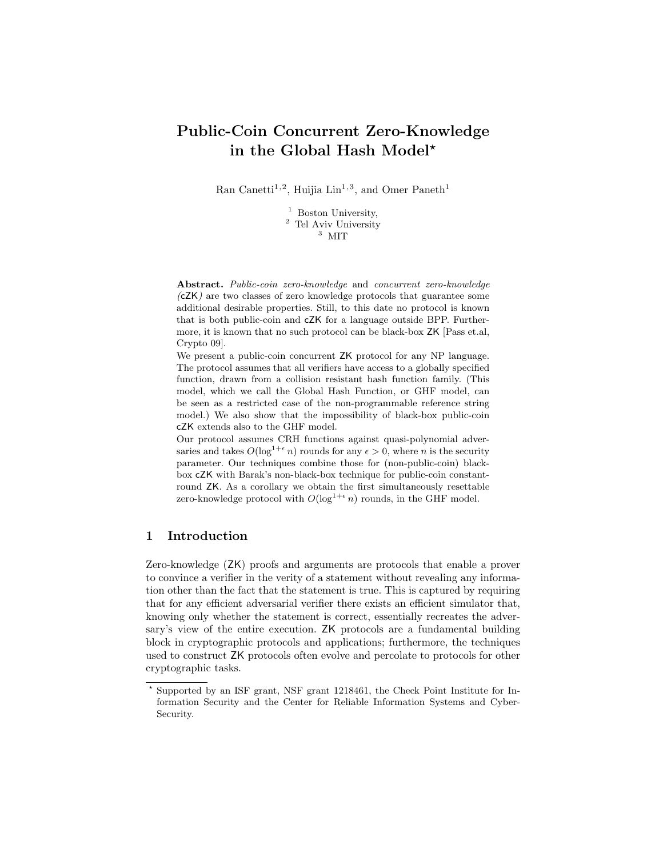# Public-Coin Concurrent Zero-Knowledge in the Global Hash Model\*

Ran Canetti<sup>1,2</sup>, Huijia Lin<sup>1,3</sup>, and Omer Paneth<sup>1</sup>

 $^{\rm 1}$  Boston University,  $^{\rm 2}$  Tel Aviv University <sup>3</sup> MIT

Abstract. Public-coin zero-knowledge and concurrent zero-knowledge (cZK) are two classes of zero knowledge protocols that guarantee some additional desirable properties. Still, to this date no protocol is known that is both public-coin and cZK for a language outside BPP. Furthermore, it is known that no such protocol can be black-box ZK [Pass et.al, Crypto 09].

We present a public-coin concurrent ZK protocol for any NP language. The protocol assumes that all verifiers have access to a globally specified function, drawn from a collision resistant hash function family. (This model, which we call the Global Hash Function, or GHF model, can be seen as a restricted case of the non-programmable reference string model.) We also show that the impossibility of black-box public-coin cZK extends also to the GHF model.

Our protocol assumes CRH functions against quasi-polynomial adversaries and takes  $O(\log^{1+\epsilon} n)$  rounds for any  $\epsilon > 0$ , where n is the security parameter. Our techniques combine those for (non-public-coin) blackbox cZK with Barak's non-black-box technique for public-coin constantround ZK. As a corollary we obtain the first simultaneously resettable zero-knowledge protocol with  $O(\log^{1+\epsilon} n)$  rounds, in the GHF model.

## 1 Introduction

Zero-knowledge (ZK) proofs and arguments are protocols that enable a prover to convince a verifier in the verity of a statement without revealing any information other than the fact that the statement is true. This is captured by requiring that for any efficient adversarial verifier there exists an efficient simulator that, knowing only whether the statement is correct, essentially recreates the adversary's view of the entire execution. ZK protocols are a fundamental building block in cryptographic protocols and applications; furthermore, the techniques used to construct ZK protocols often evolve and percolate to protocols for other cryptographic tasks.

Supported by an ISF grant, NSF grant 1218461, the Check Point Institute for Information Security and the Center for Reliable Information Systems and Cyber-Security.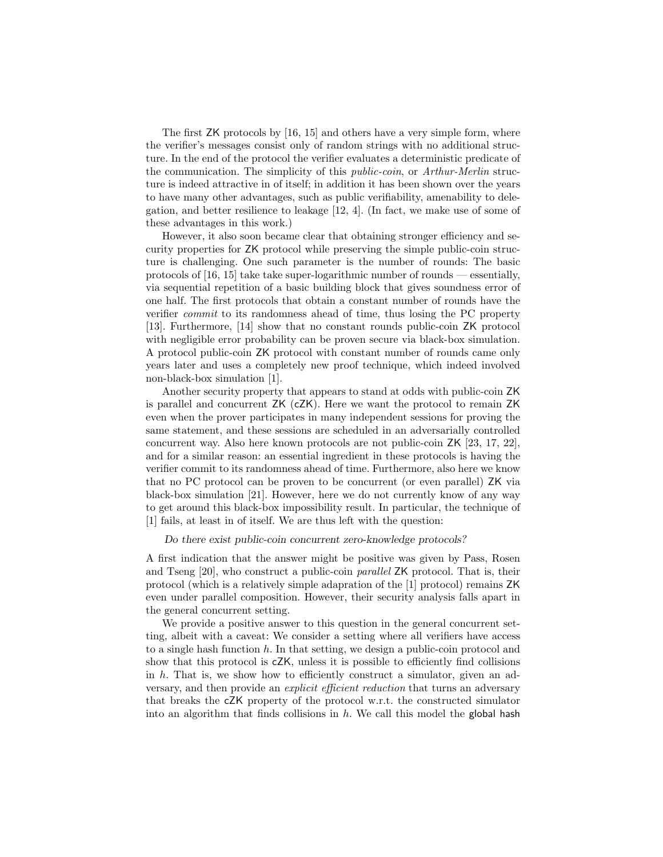The first ZK protocols by [16, 15] and others have a very simple form, where the verifier's messages consist only of random strings with no additional structure. In the end of the protocol the verifier evaluates a deterministic predicate of the communication. The simplicity of this *public-coin*, or *Arthur-Merlin* structure is indeed attractive in of itself; in addition it has been shown over the years to have many other advantages, such as public verifiability, amenability to delegation, and better resilience to leakage [12, 4]. (In fact, we make use of some of these advantages in this work.)

However, it also soon became clear that obtaining stronger efficiency and security properties for ZK protocol while preserving the simple public-coin structure is challenging. One such parameter is the number of rounds: The basic protocols of [16, 15] take take super-logarithmic number of rounds — essentially, via sequential repetition of a basic building block that gives soundness error of one half. The first protocols that obtain a constant number of rounds have the verifier commit to its randomness ahead of time, thus losing the PC property [13]. Furthermore, [14] show that no constant rounds public-coin ZK protocol with negligible error probability can be proven secure via black-box simulation. A protocol public-coin ZK protocol with constant number of rounds came only years later and uses a completely new proof technique, which indeed involved non-black-box simulation [1].

Another security property that appears to stand at odds with public-coin ZK is parallel and concurrent ZK (cZK). Here we want the protocol to remain ZK even when the prover participates in many independent sessions for proving the same statement, and these sessions are scheduled in an adversarially controlled concurrent way. Also here known protocols are not public-coin ZK [23, 17, 22], and for a similar reason: an essential ingredient in these protocols is having the verifier commit to its randomness ahead of time. Furthermore, also here we know that no PC protocol can be proven to be concurrent (or even parallel) ZK via black-box simulation [21]. However, here we do not currently know of any way to get around this black-box impossibility result. In particular, the technique of [1] fails, at least in of itself. We are thus left with the question:

#### Do there exist public-coin concurrent zero-knowledge protocols?

A first indication that the answer might be positive was given by Pass, Rosen and Tseng [20], who construct a public-coin *parallel* **ZK** protocol. That is, their protocol (which is a relatively simple adapration of the [1] protocol) remains ZK even under parallel composition. However, their security analysis falls apart in the general concurrent setting.

We provide a positive answer to this question in the general concurrent setting, albeit with a caveat: We consider a setting where all verifiers have access to a single hash function  $h$ . In that setting, we design a public-coin protocol and show that this protocol is cZK, unless it is possible to efficiently find collisions in  $h$ . That is, we show how to efficiently construct a simulator, given an adversary, and then provide an explicit efficient reduction that turns an adversary that breaks the cZK property of the protocol w.r.t. the constructed simulator into an algorithm that finds collisions in  $h$ . We call this model the global hash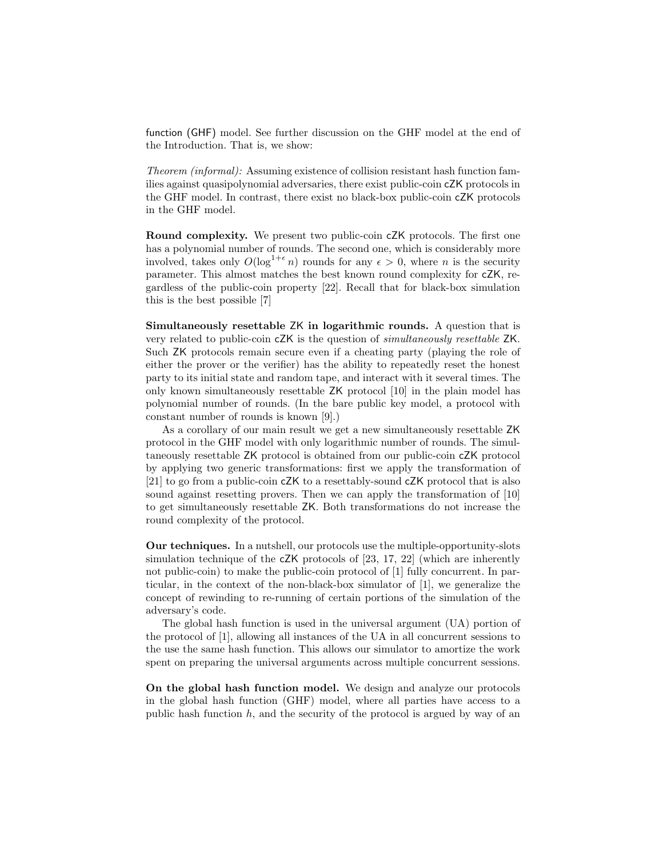function (GHF) model. See further discussion on the GHF model at the end of the Introduction. That is, we show:

Theorem (informal): Assuming existence of collision resistant hash function families against quasipolynomial adversaries, there exist public-coin cZK protocols in the GHF model. In contrast, there exist no black-box public-coin cZK protocols in the GHF model.

Round complexity. We present two public-coin cZK protocols. The first one has a polynomial number of rounds. The second one, which is considerably more involved, takes only  $O(\log^{1+\epsilon} n)$  rounds for any  $\epsilon > 0$ , where n is the security parameter. This almost matches the best known round complexity for cZK, regardless of the public-coin property [22]. Recall that for black-box simulation this is the best possible [7]

Simultaneously resettable ZK in logarithmic rounds. A question that is very related to public-coin cZK is the question of simultaneously resettable ZK. Such ZK protocols remain secure even if a cheating party (playing the role of either the prover or the verifier) has the ability to repeatedly reset the honest party to its initial state and random tape, and interact with it several times. The only known simultaneously resettable ZK protocol [10] in the plain model has polynomial number of rounds. (In the bare public key model, a protocol with constant number of rounds is known [9].)

As a corollary of our main result we get a new simultaneously resettable ZK protocol in the GHF model with only logarithmic number of rounds. The simultaneously resettable ZK protocol is obtained from our public-coin cZK protocol by applying two generic transformations: first we apply the transformation of [21] to go from a public-coin cZK to a resettably-sound cZK protocol that is also sound against resetting provers. Then we can apply the transformation of [10] to get simultaneously resettable ZK. Both transformations do not increase the round complexity of the protocol.

Our techniques. In a nutshell, our protocols use the multiple-opportunity-slots simulation technique of the cZK protocols of [23, 17, 22] (which are inherently not public-coin) to make the public-coin protocol of [1] fully concurrent. In particular, in the context of the non-black-box simulator of [1], we generalize the concept of rewinding to re-running of certain portions of the simulation of the adversary's code.

The global hash function is used in the universal argument (UA) portion of the protocol of [1], allowing all instances of the UA in all concurrent sessions to the use the same hash function. This allows our simulator to amortize the work spent on preparing the universal arguments across multiple concurrent sessions.

On the global hash function model. We design and analyze our protocols in the global hash function (GHF) model, where all parties have access to a public hash function  $h$ , and the security of the protocol is argued by way of an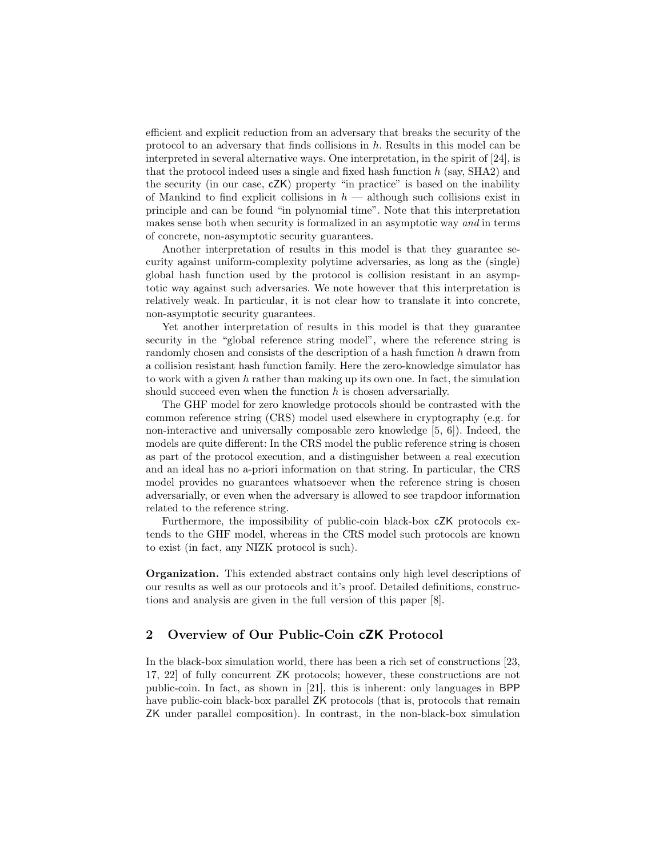efficient and explicit reduction from an adversary that breaks the security of the protocol to an adversary that finds collisions in h. Results in this model can be interpreted in several alternative ways. One interpretation, in the spirit of [24], is that the protocol indeed uses a single and fixed hash function  $h$  (say, SHA2) and the security (in our case, cZK) property "in practice" is based on the inability of Mankind to find explicit collisions in  $h$  — although such collisions exist in principle and can be found "in polynomial time". Note that this interpretation makes sense both when security is formalized in an asymptotic way and in terms of concrete, non-asymptotic security guarantees.

Another interpretation of results in this model is that they guarantee security against uniform-complexity polytime adversaries, as long as the (single) global hash function used by the protocol is collision resistant in an asymptotic way against such adversaries. We note however that this interpretation is relatively weak. In particular, it is not clear how to translate it into concrete, non-asymptotic security guarantees.

Yet another interpretation of results in this model is that they guarantee security in the "global reference string model", where the reference string is randomly chosen and consists of the description of a hash function h drawn from a collision resistant hash function family. Here the zero-knowledge simulator has to work with a given h rather than making up its own one. In fact, the simulation should succeed even when the function  $h$  is chosen adversarially.

The GHF model for zero knowledge protocols should be contrasted with the common reference string (CRS) model used elsewhere in cryptography (e.g. for non-interactive and universally composable zero knowledge [5, 6]). Indeed, the models are quite different: In the CRS model the public reference string is chosen as part of the protocol execution, and a distinguisher between a real execution and an ideal has no a-priori information on that string. In particular, the CRS model provides no guarantees whatsoever when the reference string is chosen adversarially, or even when the adversary is allowed to see trapdoor information related to the reference string.

Furthermore, the impossibility of public-coin black-box cZK protocols extends to the GHF model, whereas in the CRS model such protocols are known to exist (in fact, any NIZK protocol is such).

Organization. This extended abstract contains only high level descriptions of our results as well as our protocols and it's proof. Detailed definitions, constructions and analysis are given in the full version of this paper [8].

## 2 Overview of Our Public-Coin **cZK** Protocol

In the black-box simulation world, there has been a rich set of constructions [23, 17, 22] of fully concurrent ZK protocols; however, these constructions are not public-coin. In fact, as shown in [21], this is inherent: only languages in BPP have public-coin black-box parallel ZK protocols (that is, protocols that remain ZK under parallel composition). In contrast, in the non-black-box simulation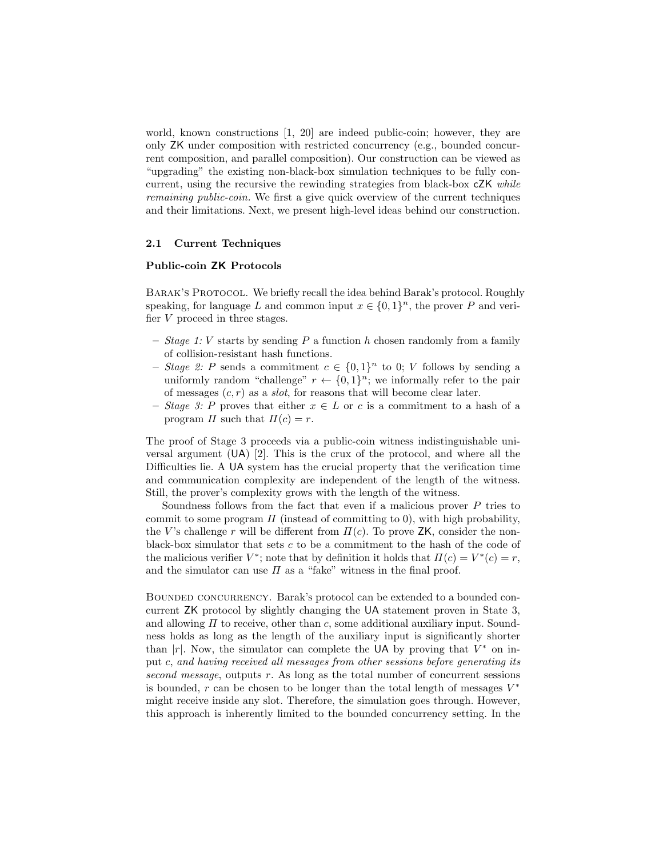world, known constructions [1, 20] are indeed public-coin; however, they are only ZK under composition with restricted concurrency (e.g., bounded concurrent composition, and parallel composition). Our construction can be viewed as "upgrading" the existing non-black-box simulation techniques to be fully concurrent, using the recursive the rewinding strategies from black-box  $cZK$  while remaining public-coin. We first a give quick overview of the current techniques and their limitations. Next, we present high-level ideas behind our construction.

#### 2.1 Current Techniques

#### Public-coin ZK Protocols

Barak's Protocol. We briefly recall the idea behind Barak's protocol. Roughly speaking, for language L and common input  $x \in \{0,1\}^n$ , the prover P and verifier V proceed in three stages.

- Stage 1: V starts by sending P a function h chosen randomly from a family of collision-resistant hash functions.
- Stage 2: P sends a commitment  $c \in \{0,1\}^n$  to 0; V follows by sending a uniformly random "challenge"  $r \leftarrow \{0,1\}^n$ ; we informally refer to the pair of messages  $(c, r)$  as a *slot*, for reasons that will become clear later.
- Stage 3: P proves that either  $x \in L$  or c is a commitment to a hash of a program  $\Pi$  such that  $\Pi(c) = r$ .

The proof of Stage 3 proceeds via a public-coin witness indistinguishable universal argument (UA) [2]. This is the crux of the protocol, and where all the Difficulties lie. A UA system has the crucial property that the verification time and communication complexity are independent of the length of the witness. Still, the prover's complexity grows with the length of the witness.

Soundness follows from the fact that even if a malicious prover  $P$  tries to commit to some program  $\Pi$  (instead of committing to 0), with high probability, the V's challenge r will be different from  $\Pi(c)$ . To prove ZK, consider the nonblack-box simulator that sets c to be a commitment to the hash of the code of the malicious verifier  $V^*$ ; note that by definition it holds that  $\Pi(c) = V^*(c) = r$ , and the simulator can use  $\Pi$  as a "fake" witness in the final proof.

BOUNDED CONCURRENCY. Barak's protocol can be extended to a bounded concurrent ZK protocol by slightly changing the UA statement proven in State 3, and allowing  $\Pi$  to receive, other than c, some additional auxiliary input. Soundness holds as long as the length of the auxiliary input is significantly shorter than |r|. Now, the simulator can complete the UA by proving that  $V^*$  on input c, and having received all messages from other sessions before generating its second message, outputs r. As long as the total number of concurrent sessions is bounded,  $r$  can be chosen to be longer than the total length of messages  $V^*$ might receive inside any slot. Therefore, the simulation goes through. However, this approach is inherently limited to the bounded concurrency setting. In the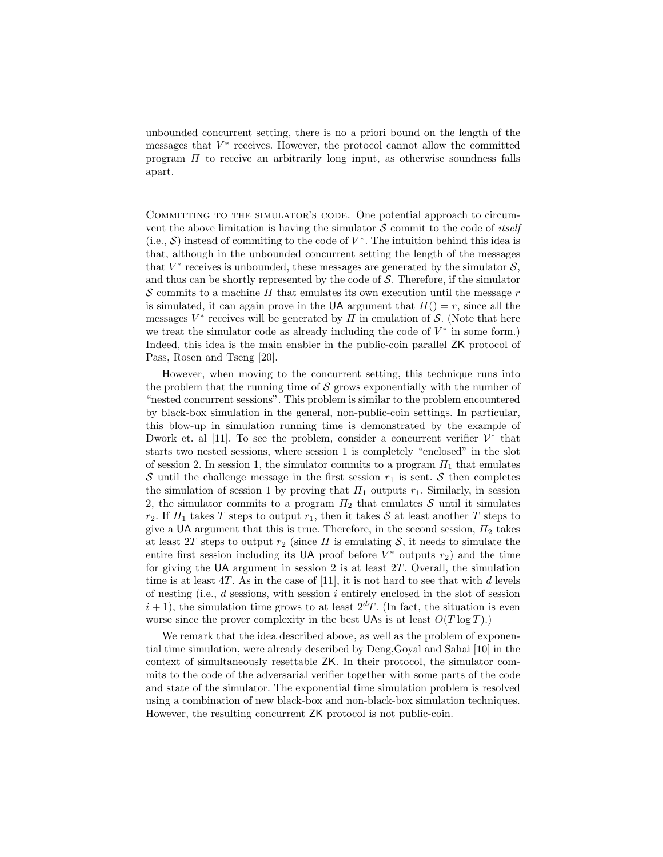unbounded concurrent setting, there is no a priori bound on the length of the messages that  $V^*$  receives. However, the protocol cannot allow the committed program  $\Pi$  to receive an arbitrarily long input, as otherwise soundness falls apart.

COMMITTING TO THE SIMULATOR'S CODE. One potential approach to circumvent the above limitation is having the simulator  $\mathcal S$  commit to the code of *itself* (i.e.,  $S$ ) instead of commiting to the code of  $V^*$ . The intuition behind this idea is that, although in the unbounded concurrent setting the length of the messages that  $V^*$  receives is unbounded, these messages are generated by the simulator  $S$ , and thus can be shortly represented by the code of  $S$ . Therefore, if the simulator S commits to a machine  $\Pi$  that emulates its own execution until the message r is simulated, it can again prove in the UA argument that  $\Pi() = r$ , since all the messages  $V^*$  receives will be generated by  $\Pi$  in emulation of S. (Note that here we treat the simulator code as already including the code of  $V^*$  in some form.) Indeed, this idea is the main enabler in the public-coin parallel ZK protocol of Pass, Rosen and Tseng [20].

However, when moving to the concurrent setting, this technique runs into the problem that the running time of  $S$  grows exponentially with the number of "nested concurrent sessions". This problem is similar to the problem encountered by black-box simulation in the general, non-public-coin settings. In particular, this blow-up in simulation running time is demonstrated by the example of Dwork et. al [11]. To see the problem, consider a concurrent verifier  $\mathcal{V}^*$  that starts two nested sessions, where session 1 is completely "enclosed" in the slot of session 2. In session 1, the simulator commits to a program  $\Pi_1$  that emulates S until the challenge message in the first session  $r_1$  is sent. S then completes the simulation of session 1 by proving that  $\Pi_1$  outputs  $r_1$ . Similarly, in session 2, the simulator commits to a program  $\Pi_2$  that emulates S until it simulates  $r_2$ . If  $\Pi_1$  takes T steps to output  $r_1$ , then it takes S at least another T steps to give a UA argument that this is true. Therefore, in the second session,  $\Pi_2$  takes at least 2T steps to output  $r_2$  (since  $\Pi$  is emulating S, it needs to simulate the entire first session including its UA proof before  $V^*$  outputs  $r_2$ ) and the time for giving the UA argument in session 2 is at least  $2T$ . Overall, the simulation time is at least  $4T$ . As in the case of [11], it is not hard to see that with d levels of nesting (i.e.,  $d$  sessions, with session  $i$  entirely enclosed in the slot of session  $i + 1$ , the simulation time grows to at least  $2<sup>d</sup>T$ . (In fact, the situation is even worse since the prover complexity in the best UAs is at least  $O(T \log T)$ .)

We remark that the idea described above, as well as the problem of exponential time simulation, were already described by Deng,Goyal and Sahai [10] in the context of simultaneously resettable ZK. In their protocol, the simulator commits to the code of the adversarial verifier together with some parts of the code and state of the simulator. The exponential time simulation problem is resolved using a combination of new black-box and non-black-box simulation techniques. However, the resulting concurrent ZK protocol is not public-coin.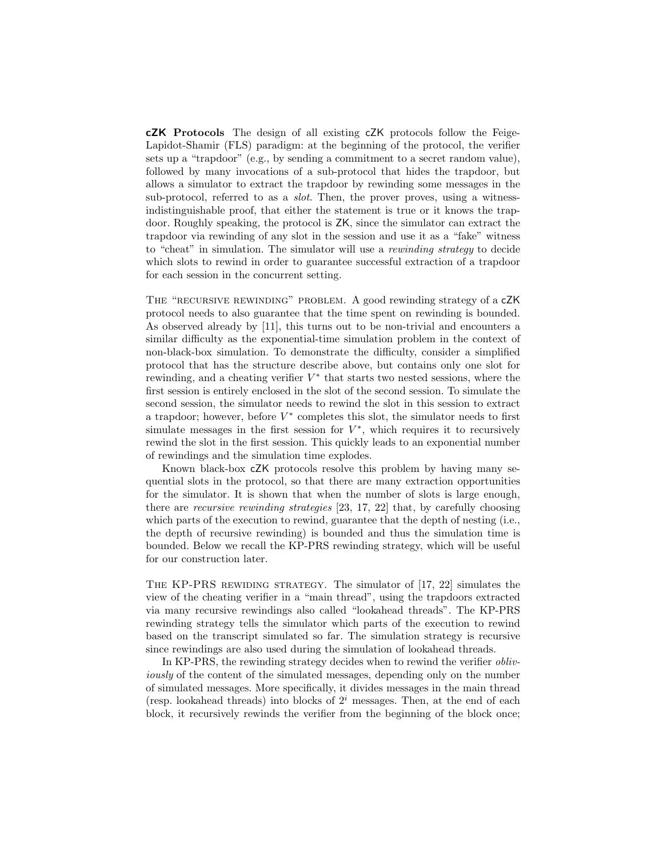cZK Protocols The design of all existing cZK protocols follow the Feige-Lapidot-Shamir (FLS) paradigm: at the beginning of the protocol, the verifier sets up a "trapdoor" (e.g., by sending a commitment to a secret random value), followed by many invocations of a sub-protocol that hides the trapdoor, but allows a simulator to extract the trapdoor by rewinding some messages in the sub-protocol, referred to as a *slot*. Then, the prover proves, using a witnessindistinguishable proof, that either the statement is true or it knows the trapdoor. Roughly speaking, the protocol is ZK, since the simulator can extract the trapdoor via rewinding of any slot in the session and use it as a "fake" witness to "cheat" in simulation. The simulator will use a rewinding strategy to decide which slots to rewind in order to guarantee successful extraction of a trapdoor for each session in the concurrent setting.

THE "RECURSIVE REWINDING" PROBLEM. A good rewinding strategy of a cZK protocol needs to also guarantee that the time spent on rewinding is bounded. As observed already by [11], this turns out to be non-trivial and encounters a similar difficulty as the exponential-time simulation problem in the context of non-black-box simulation. To demonstrate the difficulty, consider a simplified protocol that has the structure describe above, but contains only one slot for rewinding, and a cheating verifier  $V^*$  that starts two nested sessions, where the first session is entirely enclosed in the slot of the second session. To simulate the second session, the simulator needs to rewind the slot in this session to extract a trapdoor; however, before  $V^*$  completes this slot, the simulator needs to first simulate messages in the first session for  $V^*$ , which requires it to recursively rewind the slot in the first session. This quickly leads to an exponential number of rewindings and the simulation time explodes.

Known black-box cZK protocols resolve this problem by having many sequential slots in the protocol, so that there are many extraction opportunities for the simulator. It is shown that when the number of slots is large enough, there are recursive rewinding strategies [23, 17, 22] that, by carefully choosing which parts of the execution to rewind, guarantee that the depth of nesting (i.e., the depth of recursive rewinding) is bounded and thus the simulation time is bounded. Below we recall the KP-PRS rewinding strategy, which will be useful for our construction later.

The KP-PRS rewiding strategy. The simulator of [17, 22] simulates the view of the cheating verifier in a "main thread", using the trapdoors extracted via many recursive rewindings also called "lookahead threads". The KP-PRS rewinding strategy tells the simulator which parts of the execution to rewind based on the transcript simulated so far. The simulation strategy is recursive since rewindings are also used during the simulation of lookahead threads.

In KP-PRS, the rewinding strategy decides when to rewind the verifier obliviously of the content of the simulated messages, depending only on the number of simulated messages. More specifically, it divides messages in the main thread (resp. lookahead threads) into blocks of  $2<sup>i</sup>$  messages. Then, at the end of each block, it recursively rewinds the verifier from the beginning of the block once;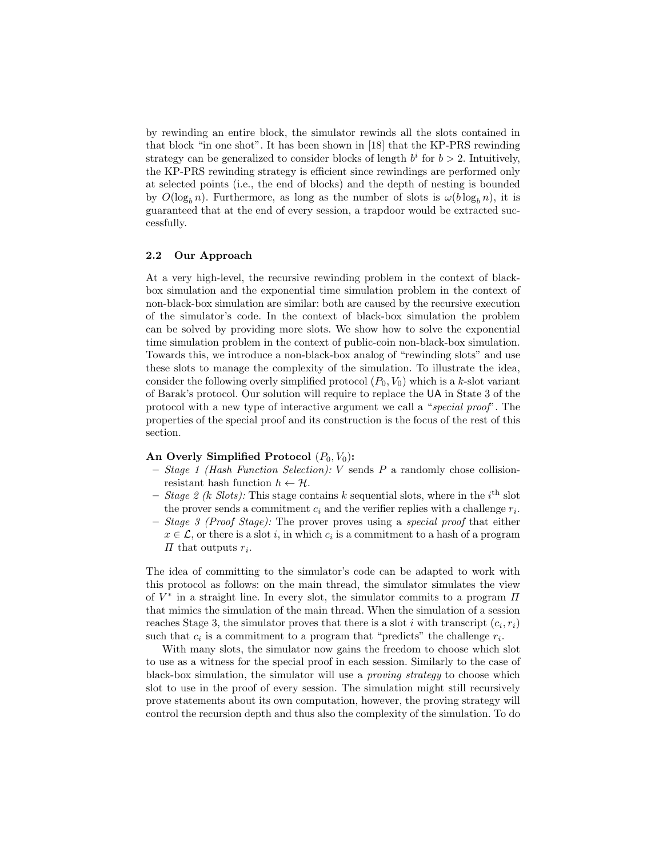by rewinding an entire block, the simulator rewinds all the slots contained in that block "in one shot". It has been shown in [18] that the KP-PRS rewinding strategy can be generalized to consider blocks of length  $b^i$  for  $b > 2$ . Intuitively, the KP-PRS rewinding strategy is efficient since rewindings are performed only at selected points (i.e., the end of blocks) and the depth of nesting is bounded by  $O(\log_b n)$ . Furthermore, as long as the number of slots is  $\omega(b \log_b n)$ , it is guaranteed that at the end of every session, a trapdoor would be extracted successfully.

#### 2.2 Our Approach

At a very high-level, the recursive rewinding problem in the context of blackbox simulation and the exponential time simulation problem in the context of non-black-box simulation are similar: both are caused by the recursive execution of the simulator's code. In the context of black-box simulation the problem can be solved by providing more slots. We show how to solve the exponential time simulation problem in the context of public-coin non-black-box simulation. Towards this, we introduce a non-black-box analog of "rewinding slots" and use these slots to manage the complexity of the simulation. To illustrate the idea, consider the following overly simplified protocol  $(P_0, V_0)$  which is a k-slot variant of Barak's protocol. Our solution will require to replace the UA in State 3 of the protocol with a new type of interactive argument we call a "special proof". The properties of the special proof and its construction is the focus of the rest of this section.

#### An Overly Simplified Protocol  $(P_0, V_0)$ :

- Stage 1 (Hash Function Selection): V sends  $P$  a randomly chose collisionresistant hash function  $h \leftarrow \mathcal{H}$ .
- Stage 2 (k Slots): This stage contains k sequential slots, where in the  $i<sup>th</sup>$  slot the prover sends a commitment  $c_i$  and the verifier replies with a challenge  $r_i$ .
- Stage 3 (Proof Stage): The prover proves using a special proof that either  $x \in \mathcal{L}$ , or there is a slot *i*, in which  $c_i$  is a commitment to a hash of a program  $\Pi$  that outputs  $r_i$ .

The idea of committing to the simulator's code can be adapted to work with this protocol as follows: on the main thread, the simulator simulates the view of  $V^*$  in a straight line. In every slot, the simulator commits to a program  $\Pi$ that mimics the simulation of the main thread. When the simulation of a session reaches Stage 3, the simulator proves that there is a slot i with transcript  $(c_i, r_i)$ such that  $c_i$  is a commitment to a program that "predicts" the challenge  $r_i$ .

With many slots, the simulator now gains the freedom to choose which slot to use as a witness for the special proof in each session. Similarly to the case of black-box simulation, the simulator will use a proving strategy to choose which slot to use in the proof of every session. The simulation might still recursively prove statements about its own computation, however, the proving strategy will control the recursion depth and thus also the complexity of the simulation. To do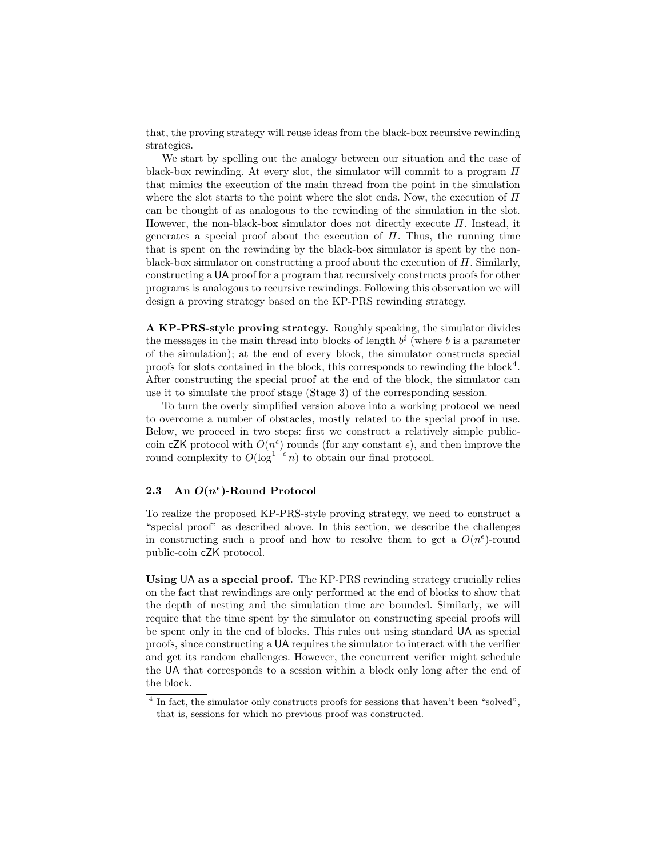that, the proving strategy will reuse ideas from the black-box recursive rewinding strategies.

We start by spelling out the analogy between our situation and the case of black-box rewinding. At every slot, the simulator will commit to a program  $\Pi$ that mimics the execution of the main thread from the point in the simulation where the slot starts to the point where the slot ends. Now, the execution of  $\Pi$ can be thought of as analogous to the rewinding of the simulation in the slot. However, the non-black-box simulator does not directly execute  $\Pi$ . Instead, it generates a special proof about the execution of  $\Pi$ . Thus, the running time that is spent on the rewinding by the black-box simulator is spent by the nonblack-box simulator on constructing a proof about the execution of  $\Pi$ . Similarly, constructing a UA proof for a program that recursively constructs proofs for other programs is analogous to recursive rewindings. Following this observation we will design a proving strategy based on the KP-PRS rewinding strategy.

A KP-PRS-style proving strategy. Roughly speaking, the simulator divides the messages in the main thread into blocks of length  $b<sup>i</sup>$  (where b is a parameter of the simulation); at the end of every block, the simulator constructs special proofs for slots contained in the block, this corresponds to rewinding the block<sup>4</sup>. After constructing the special proof at the end of the block, the simulator can use it to simulate the proof stage (Stage 3) of the corresponding session.

To turn the overly simplified version above into a working protocol we need to overcome a number of obstacles, mostly related to the special proof in use. Below, we proceed in two steps: first we construct a relatively simple publiccoin cZK protocol with  $O(n^{\epsilon})$  rounds (for any constant  $\epsilon$ ), and then improve the round complexity to  $O(\log^{1+\epsilon} n)$  to obtain our final protocol.

## 2.3 An  $O(n^{\epsilon})$ -Round Protocol

To realize the proposed KP-PRS-style proving strategy, we need to construct a "special proof" as described above. In this section, we describe the challenges in constructing such a proof and how to resolve them to get a  $O(n^{\epsilon})$ -round public-coin cZK protocol.

Using UA as a special proof. The KP-PRS rewinding strategy crucially relies on the fact that rewindings are only performed at the end of blocks to show that the depth of nesting and the simulation time are bounded. Similarly, we will require that the time spent by the simulator on constructing special proofs will be spent only in the end of blocks. This rules out using standard UA as special proofs, since constructing a UA requires the simulator to interact with the verifier and get its random challenges. However, the concurrent verifier might schedule the UA that corresponds to a session within a block only long after the end of the block.

<sup>&</sup>lt;sup>4</sup> In fact, the simulator only constructs proofs for sessions that haven't been "solved", that is, sessions for which no previous proof was constructed.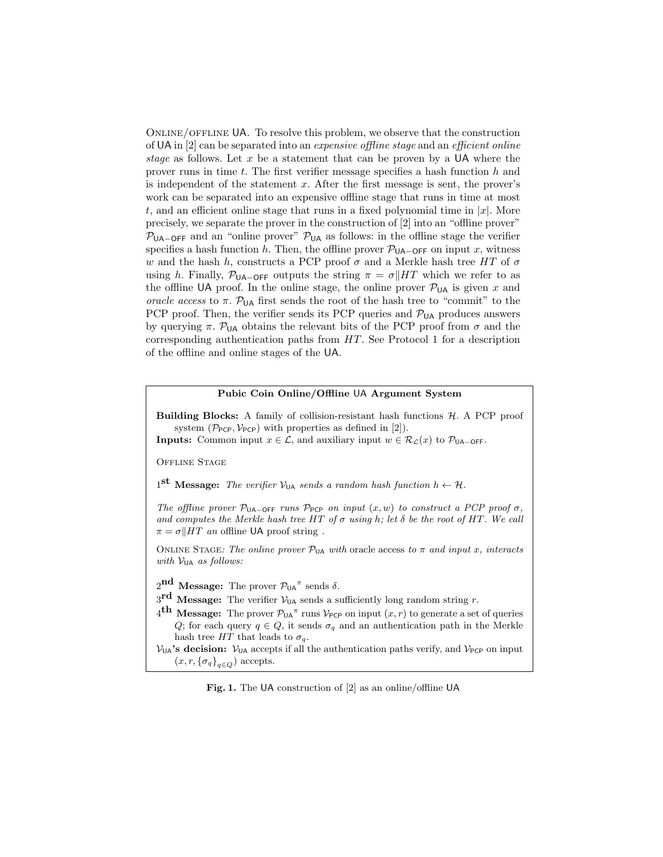Online/offline UA. To resolve this problem, we observe that the construction of UA in [2] can be separated into an expensive offline stage and an efficient online stage as follows. Let  $x$  be a statement that can be proven by a UA where the prover runs in time  $t$ . The first verifier message specifies a hash function  $h$  and is independent of the statement  $x$ . After the first message is sent, the prover's work can be separated into an expensive offline stage that runs in time at most t, and an efficient online stage that runs in a fixed polynomial time in  $|x|$ . More precisely, we separate the prover in the construction of [2] into an "offline prover"  $P_{UA-OFF}$  and an "online prover"  $P_{UA}$  as follows: in the offline stage the verifier specifies a hash function h. Then, the offline prover  $\mathcal{P}_{\mathsf{UA}-\mathsf{OFF}}$  on input x, witness w and the hash h, constructs a PCP proof  $\sigma$  and a Merkle hash tree HT of  $\sigma$ using h. Finally,  $\mathcal{P}_{\mathsf{UA}-\mathsf{OFF}}$  outputs the string  $\pi = \sigma || HT$  which we refer to as the offline UA proof. In the online stage, the online prover  $\mathcal{P}_{\mathsf{UA}}$  is given x and oracle access to  $\pi$ .  $\mathcal{P}_{\cup A}$  first sends the root of the hash tree to "commit" to the PCP proof. Then, the verifier sends its PCP queries and  $P_{UA}$  produces answers by querying  $\pi$ .  $\mathcal{P}_{\mathsf{UA}}$  obtains the relevant bits of the PCP proof from  $\sigma$  and the corresponding authentication paths from HT. See Protocol 1 for a description of the offline and online stages of the UA.

#### Pubic Coin Online/Offline UA Argument System

Building Blocks: A family of collision-resistant hash functions H. A PCP proof system  $(\mathcal{P}_{\text{PCP}}, \mathcal{V}_{\text{PCP}})$  with properties as defined in [2]).

**Inputs:** Common input  $x \in \mathcal{L}$ , and auxiliary input  $w \in \mathcal{R}_{\mathcal{L}}(x)$  to  $\mathcal{P}_{\mathsf{UA}-\mathsf{OFF}}$ .

OFFLINE STAGE

1<sup>st</sup> Message: The verifier  $V_{\text{UA}}$  sends a random hash function  $h \leftarrow H$ .

The offline prover  $\mathcal{P}_{\mathsf{UA}-\mathsf{OFF}}$  runs  $\mathcal{P}_{\mathsf{PCP}}$  on input  $(x, w)$  to construct a PCP proof  $\sigma$ , and computes the Merkle hash tree HT of  $\sigma$  using h; let  $\delta$  be the root of HT. We call  $\pi = \sigma \parallel HT$  an offline UA proof string.

ONLINE STAGE: The online prover  $\mathcal{P}_{UA}$  with oracle access to  $\pi$  and input x, interacts with  $V_{\text{UA}}$  as follows:

 $2^{\textbf{nd}}$  Message: The prover  $\mathcal{P}_{\mathsf{UA}}{}^{\pi}$  sends  $\delta$ .

 $3^{\rm rd}$  Message: The verifier  $V_{\text{UA}}$  sends a sufficiently long random string r.

 $4^{\text{th}}$  Message: The prover  $\mathcal{P}_{\mathsf{UA}}^{\pi}$  runs  $\mathcal{V}_{\mathsf{PCP}}$  on input  $(x, r)$  to generate a set of queries Q; for each query  $q \in Q$ , it sends  $\sigma_q$  and an authentication path in the Merkle hash tree  $HT$  that leads to  $\sigma_q$ .

 $V_{UA}$ 's decision:  $V_{UA}$  accepts if all the authentication paths verify, and  $V_{PCP}$  on input  $(x, r, {\{\sigma_q\}}_{q \in Q})$  accepts.

Fig. 1. The UA construction of [2] as an online/offline UA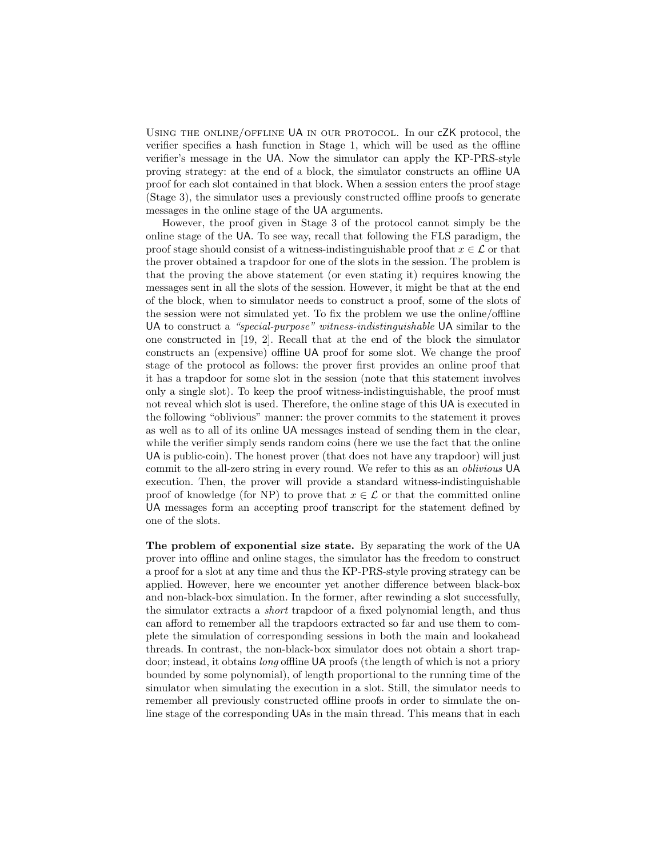Using the online/offline UA in our protocol. In our cZK protocol, the verifier specifies a hash function in Stage 1, which will be used as the offline verifier's message in the UA. Now the simulator can apply the KP-PRS-style proving strategy: at the end of a block, the simulator constructs an offline UA proof for each slot contained in that block. When a session enters the proof stage (Stage 3), the simulator uses a previously constructed offline proofs to generate messages in the online stage of the UA arguments.

However, the proof given in Stage 3 of the protocol cannot simply be the online stage of the UA. To see way, recall that following the FLS paradigm, the proof stage should consist of a witness-indistinguishable proof that  $x \in \mathcal{L}$  or that the prover obtained a trapdoor for one of the slots in the session. The problem is that the proving the above statement (or even stating it) requires knowing the messages sent in all the slots of the session. However, it might be that at the end of the block, when to simulator needs to construct a proof, some of the slots of the session were not simulated yet. To fix the problem we use the online/offline UA to construct a "special-purpose" witness-indistinguishable UA similar to the one constructed in [19, 2]. Recall that at the end of the block the simulator constructs an (expensive) offline UA proof for some slot. We change the proof stage of the protocol as follows: the prover first provides an online proof that it has a trapdoor for some slot in the session (note that this statement involves only a single slot). To keep the proof witness-indistinguishable, the proof must not reveal which slot is used. Therefore, the online stage of this UA is executed in the following "oblivious" manner: the prover commits to the statement it proves as well as to all of its online UA messages instead of sending them in the clear, while the verifier simply sends random coins (here we use the fact that the online UA is public-coin). The honest prover (that does not have any trapdoor) will just commit to the all-zero string in every round. We refer to this as an oblivious UA execution. Then, the prover will provide a standard witness-indistinguishable proof of knowledge (for NP) to prove that  $x \in \mathcal{L}$  or that the committed online UA messages form an accepting proof transcript for the statement defined by one of the slots.

The problem of exponential size state. By separating the work of the UA prover into offline and online stages, the simulator has the freedom to construct a proof for a slot at any time and thus the KP-PRS-style proving strategy can be applied. However, here we encounter yet another difference between black-box and non-black-box simulation. In the former, after rewinding a slot successfully, the simulator extracts a short trapdoor of a fixed polynomial length, and thus can afford to remember all the trapdoors extracted so far and use them to complete the simulation of corresponding sessions in both the main and lookahead threads. In contrast, the non-black-box simulator does not obtain a short trapdoor; instead, it obtains long offline UA proofs (the length of which is not a priory bounded by some polynomial), of length proportional to the running time of the simulator when simulating the execution in a slot. Still, the simulator needs to remember all previously constructed offline proofs in order to simulate the online stage of the corresponding UAs in the main thread. This means that in each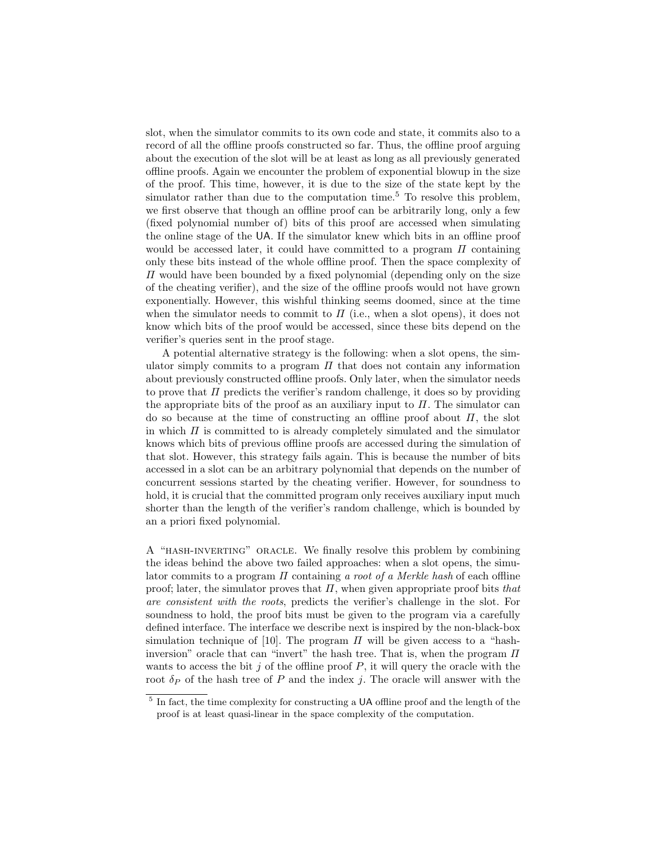slot, when the simulator commits to its own code and state, it commits also to a record of all the offline proofs constructed so far. Thus, the offline proof arguing about the execution of the slot will be at least as long as all previously generated offline proofs. Again we encounter the problem of exponential blowup in the size of the proof. This time, however, it is due to the size of the state kept by the simulator rather than due to the computation time.<sup>5</sup> To resolve this problem, we first observe that though an offline proof can be arbitrarily long, only a few (fixed polynomial number of) bits of this proof are accessed when simulating the online stage of the UA. If the simulator knew which bits in an offline proof would be accessed later, it could have committed to a program  $\Pi$  containing only these bits instead of the whole offline proof. Then the space complexity of  $\Pi$  would have been bounded by a fixed polynomial (depending only on the size of the cheating verifier), and the size of the offline proofs would not have grown exponentially. However, this wishful thinking seems doomed, since at the time when the simulator needs to commit to  $\Pi$  (i.e., when a slot opens), it does not know which bits of the proof would be accessed, since these bits depend on the verifier's queries sent in the proof stage.

A potential alternative strategy is the following: when a slot opens, the simulator simply commits to a program  $\Pi$  that does not contain any information about previously constructed offline proofs. Only later, when the simulator needs to prove that  $\Pi$  predicts the verifier's random challenge, it does so by providing the appropriate bits of the proof as an auxiliary input to  $\Pi$ . The simulator can do so because at the time of constructing an offline proof about  $\Pi$ , the slot in which  $\Pi$  is committed to is already completely simulated and the simulator knows which bits of previous offline proofs are accessed during the simulation of that slot. However, this strategy fails again. This is because the number of bits accessed in a slot can be an arbitrary polynomial that depends on the number of concurrent sessions started by the cheating verifier. However, for soundness to hold, it is crucial that the committed program only receives auxiliary input much shorter than the length of the verifier's random challenge, which is bounded by an a priori fixed polynomial.

A "hash-inverting" oracle. We finally resolve this problem by combining the ideas behind the above two failed approaches: when a slot opens, the simulator commits to a program  $\Pi$  containing a root of a Merkle hash of each offline proof; later, the simulator proves that  $\Pi$ , when given appropriate proof bits that are consistent with the roots, predicts the verifier's challenge in the slot. For soundness to hold, the proof bits must be given to the program via a carefully defined interface. The interface we describe next is inspired by the non-black-box simulation technique of [10]. The program  $\Pi$  will be given access to a "hashinversion" oracle that can "invert" the hash tree. That is, when the program  $\Pi$ wants to access the bit  $j$  of the offline proof  $P$ , it will query the oracle with the root  $\delta_P$  of the hash tree of P and the index j. The oracle will answer with the

<sup>&</sup>lt;sup>5</sup> In fact, the time complexity for constructing a UA offline proof and the length of the proof is at least quasi-linear in the space complexity of the computation.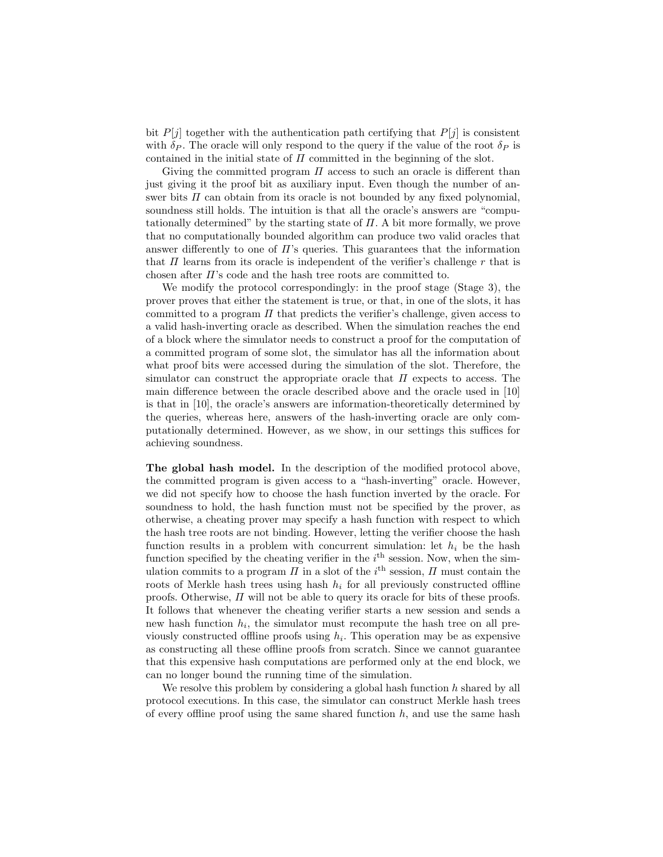bit  $P[j]$  together with the authentication path certifying that  $P[j]$  is consistent with  $\delta_P$ . The oracle will only respond to the query if the value of the root  $\delta_P$  is contained in the initial state of  $\Pi$  committed in the beginning of the slot.

Giving the committed program  $\Pi$  access to such an oracle is different than just giving it the proof bit as auxiliary input. Even though the number of answer bits  $\Pi$  can obtain from its oracle is not bounded by any fixed polynomial, soundness still holds. The intuition is that all the oracle's answers are "computationally determined" by the starting state of  $\Pi$ . A bit more formally, we prove that no computationally bounded algorithm can produce two valid oracles that answer differently to one of  $\Pi$ 's queries. This guarantees that the information that  $\Pi$  learns from its oracle is independent of the verifier's challenge r that is chosen after  $\Pi$ 's code and the hash tree roots are committed to.

We modify the protocol correspondingly: in the proof stage (Stage 3), the prover proves that either the statement is true, or that, in one of the slots, it has committed to a program  $\Pi$  that predicts the verifier's challenge, given access to a valid hash-inverting oracle as described. When the simulation reaches the end of a block where the simulator needs to construct a proof for the computation of a committed program of some slot, the simulator has all the information about what proof bits were accessed during the simulation of the slot. Therefore, the simulator can construct the appropriate oracle that  $\Pi$  expects to access. The main difference between the oracle described above and the oracle used in [10] is that in [10], the oracle's answers are information-theoretically determined by the queries, whereas here, answers of the hash-inverting oracle are only computationally determined. However, as we show, in our settings this suffices for achieving soundness.

The global hash model. In the description of the modified protocol above, the committed program is given access to a "hash-inverting" oracle. However, we did not specify how to choose the hash function inverted by the oracle. For soundness to hold, the hash function must not be specified by the prover, as otherwise, a cheating prover may specify a hash function with respect to which the hash tree roots are not binding. However, letting the verifier choose the hash function results in a problem with concurrent simulation: let  $h_i$  be the hash function specified by the cheating verifier in the  $i<sup>th</sup>$  session. Now, when the simulation commits to a program  $\Pi$  in a slot of the i<sup>th</sup> session,  $\Pi$  must contain the roots of Merkle hash trees using hash  $h_i$  for all previously constructed offline proofs. Otherwise,  $\Pi$  will not be able to query its oracle for bits of these proofs. It follows that whenever the cheating verifier starts a new session and sends a new hash function  $h_i$ , the simulator must recompute the hash tree on all previously constructed offline proofs using  $h_i$ . This operation may be as expensive as constructing all these offline proofs from scratch. Since we cannot guarantee that this expensive hash computations are performed only at the end block, we can no longer bound the running time of the simulation.

We resolve this problem by considering a global hash function h shared by all protocol executions. In this case, the simulator can construct Merkle hash trees of every offline proof using the same shared function  $h$ , and use the same hash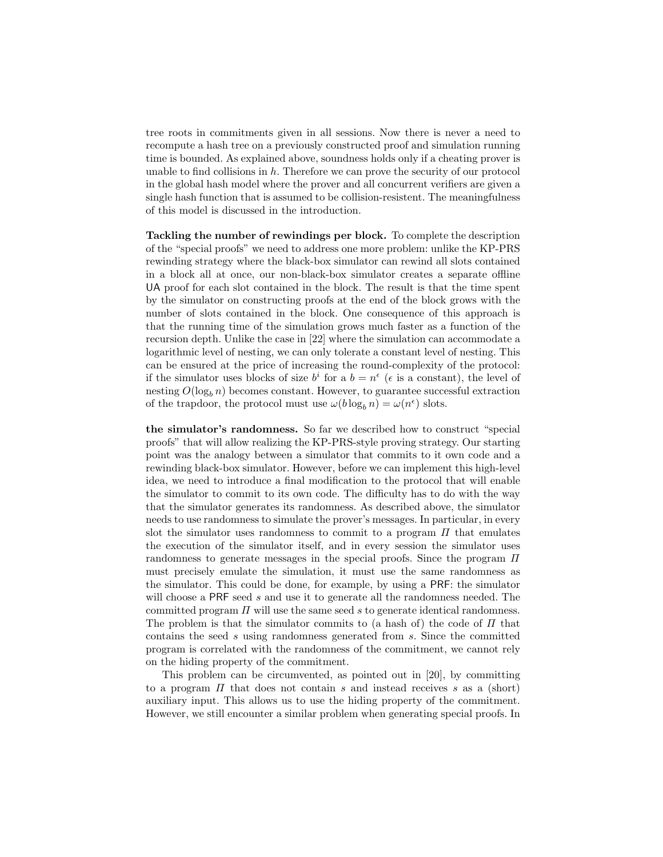tree roots in commitments given in all sessions. Now there is never a need to recompute a hash tree on a previously constructed proof and simulation running time is bounded. As explained above, soundness holds only if a cheating prover is unable to find collisions in  $h$ . Therefore we can prove the security of our protocol in the global hash model where the prover and all concurrent verifiers are given a single hash function that is assumed to be collision-resistent. The meaningfulness of this model is discussed in the introduction.

Tackling the number of rewindings per block. To complete the description of the "special proofs" we need to address one more problem: unlike the KP-PRS rewinding strategy where the black-box simulator can rewind all slots contained in a block all at once, our non-black-box simulator creates a separate offline UA proof for each slot contained in the block. The result is that the time spent by the simulator on constructing proofs at the end of the block grows with the number of slots contained in the block. One consequence of this approach is that the running time of the simulation grows much faster as a function of the recursion depth. Unlike the case in [22] where the simulation can accommodate a logarithmic level of nesting, we can only tolerate a constant level of nesting. This can be ensured at the price of increasing the round-complexity of the protocol: if the simulator uses blocks of size  $b^i$  for a  $b = n^{\epsilon}$  ( $\epsilon$  is a constant), the level of nesting  $O(\log_b n)$  becomes constant. However, to guarantee successful extraction of the trapdoor, the protocol must use  $\omega(b \log_b n) = \omega(n^{\epsilon})$  slots.

the simulator's randomness. So far we described how to construct "special proofs" that will allow realizing the KP-PRS-style proving strategy. Our starting point was the analogy between a simulator that commits to it own code and a rewinding black-box simulator. However, before we can implement this high-level idea, we need to introduce a final modification to the protocol that will enable the simulator to commit to its own code. The difficulty has to do with the way that the simulator generates its randomness. As described above, the simulator needs to use randomness to simulate the prover's messages. In particular, in every slot the simulator uses randomness to commit to a program  $\Pi$  that emulates the execution of the simulator itself, and in every session the simulator uses randomness to generate messages in the special proofs. Since the program  $\Pi$ must precisely emulate the simulation, it must use the same randomness as the simulator. This could be done, for example, by using a PRF: the simulator will choose a PRF seed s and use it to generate all the randomness needed. The committed program  $\Pi$  will use the same seed s to generate identical randomness. The problem is that the simulator commits to (a hash of) the code of  $\Pi$  that contains the seed s using randomness generated from s. Since the committed program is correlated with the randomness of the commitment, we cannot rely on the hiding property of the commitment.

This problem can be circumvented, as pointed out in [20], by committing to a program  $\Pi$  that does not contain s and instead receives s as a (short) auxiliary input. This allows us to use the hiding property of the commitment. However, we still encounter a similar problem when generating special proofs. In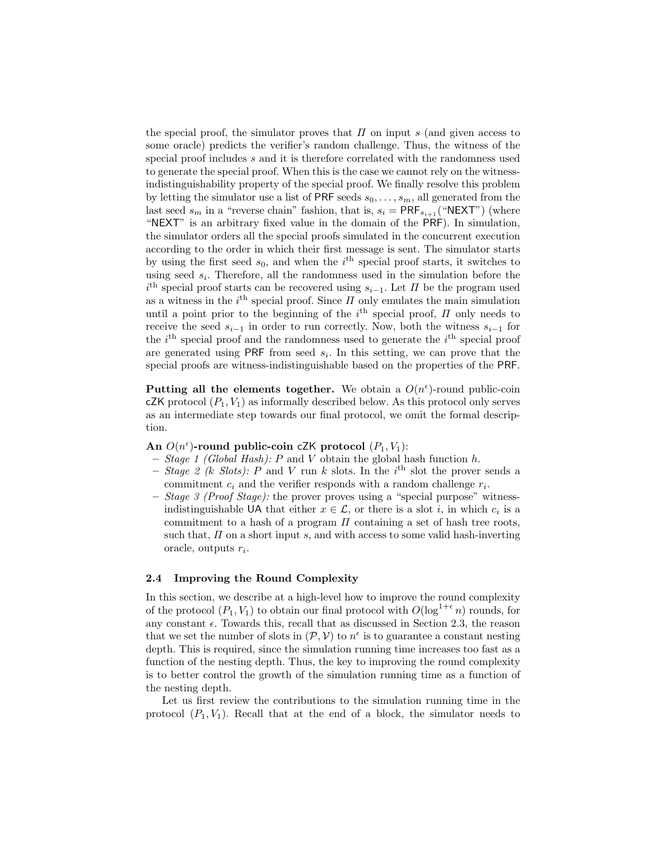the special proof, the simulator proves that  $\Pi$  on input s (and given access to some oracle) predicts the verifier's random challenge. Thus, the witness of the special proof includes s and it is therefore correlated with the randomness used to generate the special proof. When this is the case we cannot rely on the witnessindistinguishability property of the special proof. We finally resolve this problem by letting the simulator use a list of PRF seeds  $s_0, \ldots, s_m$ , all generated from the last seed  $s_m$  in a "reverse chain" fashion, that is,  $s_i = \text{PRF}_{s_{i+1}}(\text{``NEXT''})$  (where "NEXT" is an arbitrary fixed value in the domain of the PRF). In simulation, the simulator orders all the special proofs simulated in the concurrent execution according to the order in which their first message is sent. The simulator starts by using the first seed  $s_0$ , and when the  $i<sup>th</sup>$  special proof starts, it switches to using seed  $s_i$ . Therefore, all the randomness used in the simulation before the  $i<sup>th</sup>$  special proof starts can be recovered using  $s_{i-1}$ . Let  $\Pi$  be the program used as a witness in the  $i<sup>th</sup>$  special proof. Since  $\Pi$  only emulates the main simulation until a point prior to the beginning of the  $i<sup>th</sup>$  special proof,  $\Pi$  only needs to receive the seed  $s_{i-1}$  in order to run correctly. Now, both the witness  $s_{i-1}$  for the  $i<sup>th</sup>$  special proof and the randomness used to generate the  $i<sup>th</sup>$  special proof are generated using PRF from seed  $s_i$ . In this setting, we can prove that the special proofs are witness-indistinguishable based on the properties of the PRF.

Putting all the elements together. We obtain a  $O(n^{\epsilon})$ -round public-coin  $cZK$  protocol  $(P_1, V_1)$  as informally described below. As this protocol only serves as an intermediate step towards our final protocol, we omit the formal description.

## An  $O(n^{\epsilon})$ -round public-coin cZK protocol  $(P_1, V_1)$ :

- Stage 1 (Global Hash): P and V obtain the global hash function h.
- Stage 2 (k Slots): P and V run k slots. In the i<sup>th</sup> slot the prover sends a commitment  $c_i$  and the verifier responds with a random challenge  $r_i$ .
- Stage 3 (Proof Stage): the prover proves using a "special purpose" witnessindistinguishable UA that either  $x \in \mathcal{L}$ , or there is a slot *i*, in which  $c_i$  is a commitment to a hash of a program  $\Pi$  containing a set of hash tree roots, such that,  $\Pi$  on a short input s, and with access to some valid hash-inverting oracle, outputs  $r_i$ .

### 2.4 Improving the Round Complexity

In this section, we describe at a high-level how to improve the round complexity of the protocol  $(P_1, V_1)$  to obtain our final protocol with  $O(\log^{1+\epsilon} n)$  rounds, for any constant  $\epsilon$ . Towards this, recall that as discussed in Section 2.3, the reason that we set the number of slots in  $(\mathcal{P}, V)$  to  $n^{\epsilon}$  is to guarantee a constant nesting depth. This is required, since the simulation running time increases too fast as a function of the nesting depth. Thus, the key to improving the round complexity is to better control the growth of the simulation running time as a function of the nesting depth.

Let us first review the contributions to the simulation running time in the protocol  $(P_1, V_1)$ . Recall that at the end of a block, the simulator needs to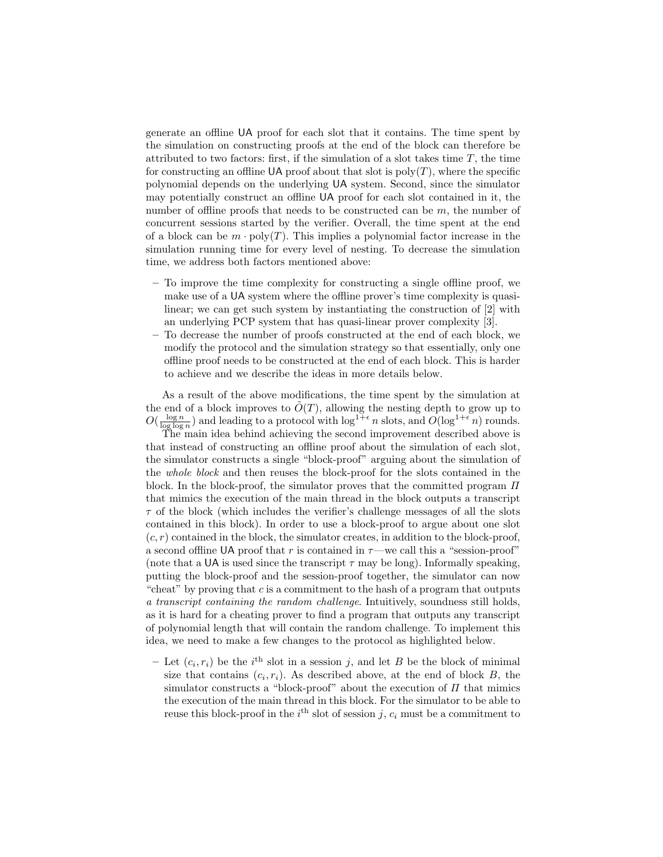generate an offline UA proof for each slot that it contains. The time spent by the simulation on constructing proofs at the end of the block can therefore be attributed to two factors: first, if the simulation of a slot takes time  $T$ , the time for constructing an offline UA proof about that slot is  $poly(T)$ , where the specific polynomial depends on the underlying UA system. Second, since the simulator may potentially construct an offline UA proof for each slot contained in it, the number of offline proofs that needs to be constructed can be m, the number of concurrent sessions started by the verifier. Overall, the time spent at the end of a block can be  $m \cdot \text{poly}(T)$ . This implies a polynomial factor increase in the simulation running time for every level of nesting. To decrease the simulation time, we address both factors mentioned above:

- To improve the time complexity for constructing a single offline proof, we make use of a UA system where the offline prover's time complexity is quasilinear; we can get such system by instantiating the construction of [2] with an underlying PCP system that has quasi-linear prover complexity [3].
- To decrease the number of proofs constructed at the end of each block, we modify the protocol and the simulation strategy so that essentially, only one offline proof needs to be constructed at the end of each block. This is harder to achieve and we describe the ideas in more details below.

As a result of the above modifications, the time spent by the simulation at the end of a block improves to  $\tilde{O}(T)$ , allowing the nesting depth to grow up to  $O(\frac{\log n}{\log \log n})$  and leading to a protocol with  $\log^{1+\epsilon} n$  slots, and  $O(\log^{1+\epsilon} n)$  rounds.

The main idea behind achieving the second improvement described above is that instead of constructing an offline proof about the simulation of each slot, the simulator constructs a single "block-proof" arguing about the simulation of the whole block and then reuses the block-proof for the slots contained in the block. In the block-proof, the simulator proves that the committed program  $\Pi$ that mimics the execution of the main thread in the block outputs a transcript  $\tau$  of the block (which includes the verifier's challenge messages of all the slots contained in this block). In order to use a block-proof to argue about one slot  $(c, r)$  contained in the block, the simulator creates, in addition to the block-proof, a second offline UA proof that r is contained in  $\tau$ —we call this a "session-proof" (note that a UA is used since the transcript  $\tau$  may be long). Informally speaking, putting the block-proof and the session-proof together, the simulator can now "cheat" by proving that  $c$  is a commitment to the hash of a program that outputs a transcript containing the random challenge. Intuitively, soundness still holds, as it is hard for a cheating prover to find a program that outputs any transcript of polynomial length that will contain the random challenge. To implement this idea, we need to make a few changes to the protocol as highlighted below.

– Let  $(c_i, r_i)$  be the i<sup>th</sup> slot in a session j, and let B be the block of minimal size that contains  $(c_i, r_i)$ . As described above, at the end of block  $B$ , the simulator constructs a "block-proof" about the execution of  $\Pi$  that mimics the execution of the main thread in this block. For the simulator to be able to reuse this block-proof in the  $i^{\text{th}}$  slot of session j,  $c_i$  must be a commitment to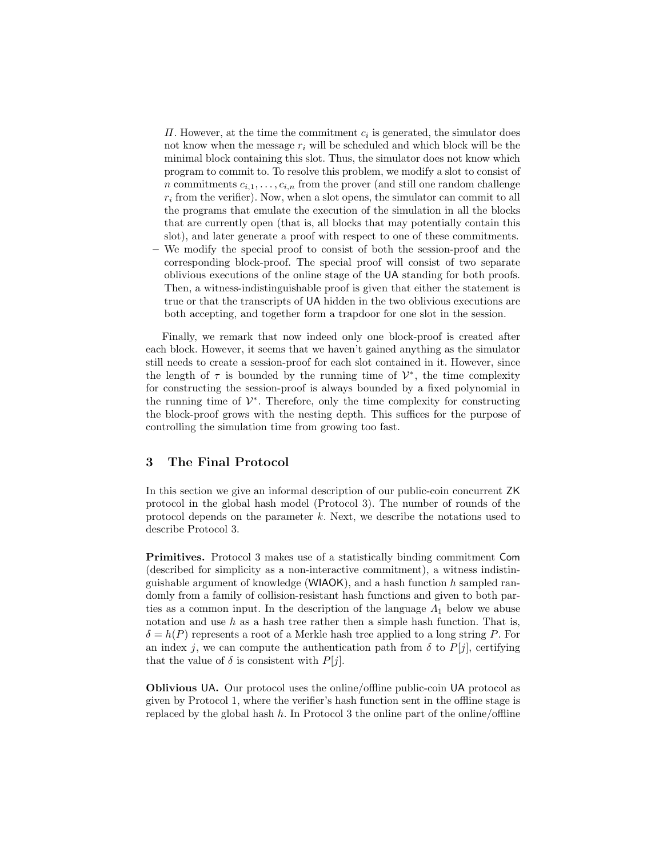$\Pi$ . However, at the time the commitment  $c_i$  is generated, the simulator does not know when the message  $r_i$  will be scheduled and which block will be the minimal block containing this slot. Thus, the simulator does not know which program to commit to. To resolve this problem, we modify a slot to consist of n commitments  $c_{i,1}, \ldots, c_{i,n}$  from the prover (and still one random challenge  $r_i$  from the verifier). Now, when a slot opens, the simulator can commit to all the programs that emulate the execution of the simulation in all the blocks that are currently open (that is, all blocks that may potentially contain this slot), and later generate a proof with respect to one of these commitments. We modify the special proof to consist of both the session-proof and the corresponding block-proof. The special proof will consist of two separate oblivious executions of the online stage of the UA standing for both proofs. Then, a witness-indistinguishable proof is given that either the statement is true or that the transcripts of UA hidden in the two oblivious executions are both accepting, and together form a trapdoor for one slot in the session.

Finally, we remark that now indeed only one block-proof is created after each block. However, it seems that we haven't gained anything as the simulator still needs to create a session-proof for each slot contained in it. However, since the length of  $\tau$  is bounded by the running time of  $\mathcal{V}^*$ , the time complexity for constructing the session-proof is always bounded by a fixed polynomial in the running time of  $\mathcal{V}^*$ . Therefore, only the time complexity for constructing the block-proof grows with the nesting depth. This suffices for the purpose of controlling the simulation time from growing too fast.

## 3 The Final Protocol

In this section we give an informal description of our public-coin concurrent ZK protocol in the global hash model (Protocol 3). The number of rounds of the protocol depends on the parameter  $k$ . Next, we describe the notations used to describe Protocol 3.

Primitives. Protocol 3 makes use of a statistically binding commitment Com (described for simplicity as a non-interactive commitment), a witness indistinguishable argument of knowledge ( $WIAOK$ ), and a hash function h sampled randomly from a family of collision-resistant hash functions and given to both parties as a common input. In the description of the language  $\Lambda_1$  below we abuse notation and use  $h$  as a hash tree rather then a simple hash function. That is,  $\delta = h(P)$  represents a root of a Merkle hash tree applied to a long string P. For an index j, we can compute the authentication path from  $\delta$  to  $P[j]$ , certifying that the value of  $\delta$  is consistent with  $P[j]$ .

Oblivious UA. Our protocol uses the online/offline public-coin UA protocol as given by Protocol 1, where the verifier's hash function sent in the offline stage is replaced by the global hash  $h$ . In Protocol 3 the online part of the online/offline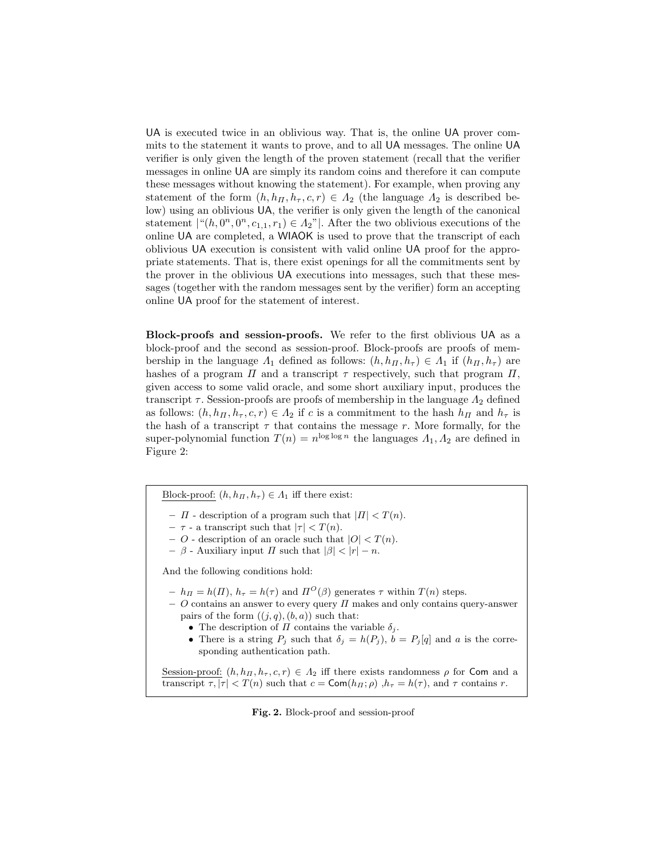UA is executed twice in an oblivious way. That is, the online UA prover commits to the statement it wants to prove, and to all UA messages. The online UA verifier is only given the length of the proven statement (recall that the verifier messages in online UA are simply its random coins and therefore it can compute these messages without knowing the statement). For example, when proving any statement of the form  $(h, h_H, h_\tau, c, r) \in A_2$  (the language  $A_2$  is described below) using an oblivious UA, the verifier is only given the length of the canonical statement  $|((h, 0^n, 0^n, c_{1,1}, r_1) \in A_2)]$ . After the two oblivious executions of the online UA are completed, a WIAOK is used to prove that the transcript of each oblivious UA execution is consistent with valid online UA proof for the appropriate statements. That is, there exist openings for all the commitments sent by the prover in the oblivious UA executions into messages, such that these messages (together with the random messages sent by the verifier) form an accepting online UA proof for the statement of interest.

Block-proofs and session-proofs. We refer to the first oblivious UA as a block-proof and the second as session-proof. Block-proofs are proofs of membership in the language  $\Lambda_1$  defined as follows:  $(h, h_{\Pi}, h_{\tau}) \in \Lambda_1$  if  $(h_{\Pi}, h_{\tau})$  are hashes of a program  $\Pi$  and a transcript  $\tau$  respectively, such that program  $\Pi$ , given access to some valid oracle, and some short auxiliary input, produces the transcript  $\tau$ . Session-proofs are proofs of membership in the language  $\Lambda_2$  defined as follows:  $(h, h_H, h_\tau, c, r) \in A_2$  if c is a commitment to the hash  $h_H$  and  $h_\tau$  is the hash of a transcript  $\tau$  that contains the message r. More formally, for the super-polynomial function  $T(n) = n^{\log \log n}$  the languages  $\Lambda_1, \Lambda_2$  are defined in Figure 2:

Block-proof:  $(h, h_{\Pi}, h_{\tau}) \in \Lambda_1$  iff there exist:

- $\Pi$  description of a program such that  $|\Pi| < T(n)$ .
- $\tau$  a transcript such that  $|\tau| < T(n)$ .
- O description of an oracle such that  $|O| < T(n)$ .
- $\beta$  Auxiliary input  $\Pi$  such that  $|\beta| < |r| n$ .

And the following conditions hold:

- $h_{\Pi} = h(\Pi), h_{\tau} = h(\tau)$  and  $\Pi^{O}(\beta)$  generates  $\tau$  within  $T(n)$  steps.
- $-$  O contains an answer to every query  $\Pi$  makes and only contains query-answer pairs of the form  $((j, q), (b, a))$  such that:
	- The description of  $\Pi$  contains the variable  $\delta_i$ .
	- There is a string  $P_j$  such that  $\delta_j = h(P_j)$ ,  $b = P_j[q]$  and a is the corresponding authentication path.

Session-proof:  $(h, h_H, h_\tau, c, r) \in A_2$  iff there exists randomness  $\rho$  for Com and a transcript  $\tau, |\tau| < T(n)$  such that  $c = \text{Com}(h_{\Pi}; \rho)$ ,  $h_{\tau} = h(\tau)$ , and  $\tau$  contains  $r$ .

Fig. 2. Block-proof and session-proof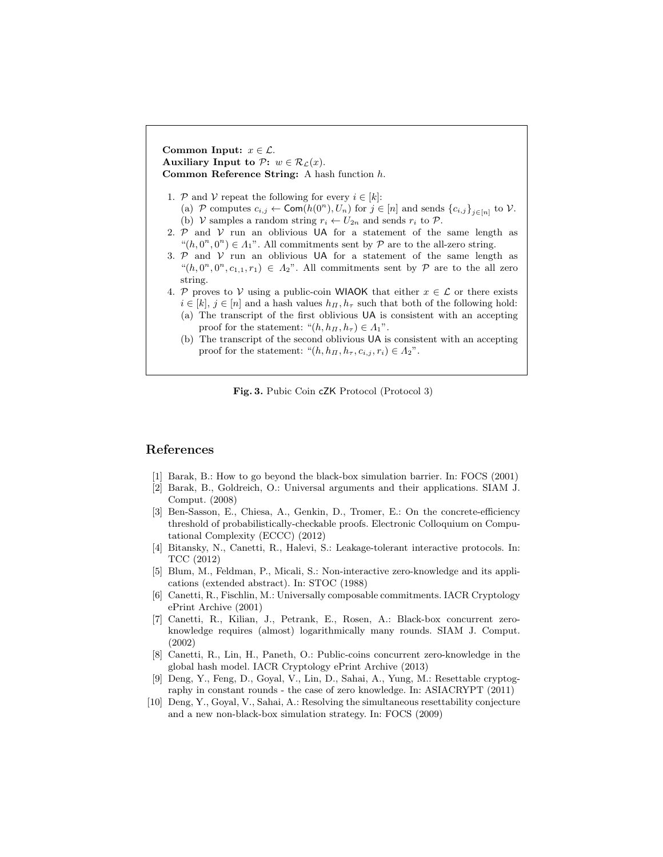Common Input:  $x \in \mathcal{L}$ . Auxiliary Input to  $P: w \in \mathcal{R}_\mathcal{L}(x)$ . Common Reference String: A hash function h.

- 1. P and V repeat the following for every  $i \in [k]$ : (a) P computes  $c_{i,j} \leftarrow \textsf{Com}(h(0^n), U_n)$  for  $j \in [n]$  and sends  $\{c_{i,j}\}_{j \in [n]}$  to V. (b) V samples a random string  $r_i \leftarrow U_{2n}$  and sends  $r_i$  to  $\mathcal{P}$ .
- 2.  $P$  and  $V$  run an oblivious UA for a statement of the same length as  $\mathcal{L}(h, 0^n, 0^n) \in A_1$ ". All commitments sent by  $\mathcal P$  are to the all-zero string.
- 3.  $P$  and  $V$  run an oblivious UA for a statement of the same length as " $(h, 0^n, 0^n, c_{1,1}, r_1) \in A_2$ ". All commitments sent by  $P$  are to the all zero string.
- 4. P proves to V using a public-coin WIAOK that either  $x \in \mathcal{L}$  or there exists  $i \in [k], j \in [n]$  and a hash values  $h_{\Pi}, h_{\tau}$  such that both of the following hold: (a) The transcript of the first oblivious UA is consistent with an accepting
	- proof for the statement: " $(h, h_H, h_\tau) \in A_1$ ".
	- (b) The transcript of the second oblivious UA is consistent with an accepting proof for the statement: " $(h, h_{\Pi}, h_{\tau}, c_{i,j}, r_i) \in A_2$ ".

Fig. 3. Pubic Coin cZK Protocol (Protocol 3)

## References

- [1] Barak, B.: How to go beyond the black-box simulation barrier. In: FOCS (2001)
- [2] Barak, B., Goldreich, O.: Universal arguments and their applications. SIAM J. Comput. (2008)
- [3] Ben-Sasson, E., Chiesa, A., Genkin, D., Tromer, E.: On the concrete-efficiency threshold of probabilistically-checkable proofs. Electronic Colloquium on Computational Complexity (ECCC) (2012)
- [4] Bitansky, N., Canetti, R., Halevi, S.: Leakage-tolerant interactive protocols. In: TCC (2012)
- [5] Blum, M., Feldman, P., Micali, S.: Non-interactive zero-knowledge and its applications (extended abstract). In: STOC (1988)
- [6] Canetti, R., Fischlin, M.: Universally composable commitments. IACR Cryptology ePrint Archive (2001)
- [7] Canetti, R., Kilian, J., Petrank, E., Rosen, A.: Black-box concurrent zeroknowledge requires (almost) logarithmically many rounds. SIAM J. Comput. (2002)
- [8] Canetti, R., Lin, H., Paneth, O.: Public-coins concurrent zero-knowledge in the global hash model. IACR Cryptology ePrint Archive (2013)
- [9] Deng, Y., Feng, D., Goyal, V., Lin, D., Sahai, A., Yung, M.: Resettable cryptography in constant rounds - the case of zero knowledge. In: ASIACRYPT (2011)
- [10] Deng, Y., Goyal, V., Sahai, A.: Resolving the simultaneous resettability conjecture and a new non-black-box simulation strategy. In: FOCS (2009)